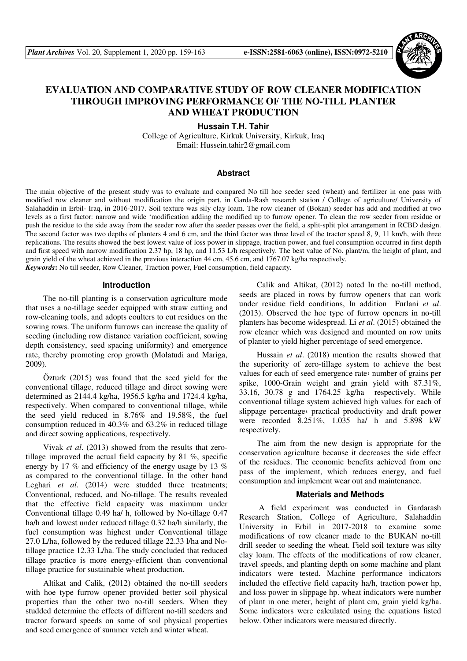

# **EVALUATION AND COMPARATIVE STUDY OF ROW CLEANER MODIFICATION THROUGH IMPROVING PERFORMANCE OF THE NO-TILL PLANTER AND WHEAT PRODUCTION**

**Hussain T.H. Tahir** 

College of Agriculture, Kirkuk University, Kirkuk, Iraq Email: Hussein.tahir2@gmail.com

#### **Abstract**

The main objective of the present study was to evaluate and compared No till hoe seeder seed (wheat) and fertilizer in one pass with modified row cleaner and without modification the origin part, in Garda-Rash research station / College of agriculture/ University of Salahaddin in Erbil- Iraq, in 2016-2017. Soil texture was sily clay loam. The row cleaner of (Bokan) seeder has add and modified at two levels as a first factor: narrow and wide 'modification adding the modified up to furrow opener. To clean the row seeder from residue or push the residue to the side away from the seeder row after the seeder passes over the field, a split-split plot arrangement in RCBD design. The second factor was two depths of planters 4 and 6 cm, and the third factor was three level of the tractor speed 8, 9, 11 km/h, with three replications. The results showed the best lowest value of loss power in slippage, traction power, and fuel consumption occurred in first depth and first speed with narrow modification 2.37 hp, 18 hp, and 11.53 L/h respectively. The best value of No. plant/m, the height of plant, and grain yield of the wheat achieved in the previous interaction 44 cm, 45.6 cm, and 1767.07 kg/ha respectively. *Keywords***:** No till seeder, Row Cleaner, Traction power, Fuel consumption, field capacity.

#### **Introduction**

The no-till planting is a conservation agriculture mode that uses a no-tillage seeder equipped with straw cutting and row-cleaning tools, and adopts coulters to cut residues on the sowing rows. The uniform furrows can increase the quality of seeding (including row distance variation coefficient, sowing depth consistency, seed spacing uniformity) and emergence rate, thereby promoting crop growth (Molatudi and Mariga, 2009).

Őzturk (2015) was found that the seed yield for the conventional tillage, reduced tillage and direct sowing were determined as 2144.4 kg/ha, 1956.5 kg/ha and 1724.4 kg/ha, respectively. When compared to conventional tillage, while the seed yield reduced in 8.76% and 19.58%, the fuel consumption reduced in 40.3% and 63.2% in reduced tillage and direct sowing applications, respectively.

Vivak *et al*. (2013) showed from the results that zerotillage improved the actual field capacity by 81 %, specific energy by 17 % and efficiency of the energy usage by 13 % as compared to the conventional tillage. In the other hand Leghari *et al.* (2014) were studded three treatments; Conventional, reduced, and No-tillage. The results revealed that the effective field capacity was maximum under Conventional tillage 0.49 ha/ h, followed by No-tillage 0.47 ha/h and lowest under reduced tillage 0.32 ha/h similarly, the fuel consumption was highest under Conventional tillage 27.0 L/ha, followed by the reduced tillage 22.33 l/ha and Notillage practice 12.33 L/ha. The study concluded that reduced tillage practice is more energy-efficient than conventional tillage practice for sustainable wheat production.

Altikat and Calik, (2012) obtained the no-till seeders with hoe type furrow opener provided better soil physical properties than the other two no-till seeders. When they studded determine the effects of different no-till seeders and tractor forward speeds on some of soil physical properties and seed emergence of summer vetch and winter wheat.

Calik and Altikat, (2012) noted In the no-till method, seeds are placed in rows by furrow openers that can work under residue field conditions, In addition Furlani *et al*. (2013). Observed the hoe type of furrow openers in no-till planters has become widespread. Li *et al*. (2015) obtained the row cleaner which was designed and mounted on row units of planter to yield higher percentage of seed emergence.

Hussain *et al*. (2018) mention the results showed that the superiority of zero-tillage system to achieve the best values for each of seed emergence rate number of grains per spike, 1000-Grain weight and grain yield with 87.31%, 33.16, 30.78 g and 1764.25 kg/ha respectively. While conventional tillage system achieved high values for each of slippage percentage، practical productivity and draft power were recorded 8.251%, 1.035 ha/ h and 5.898 kW respectively.

The aim from the new design is appropriate for the conservation agriculture because it decreases the side effect of the residues. The economic benefits achieved from one pass of the implement, which reduces energy, and fuel consumption and implement wear out and maintenance.

### **Materials and Methods**

 A field experiment was conducted in Gardarash Research Station, College of Agriculture, Salahaddin University in Erbil in 2017-2018 to examine some modifications of row cleaner made to the BUKAN no-till drill seeder to seeding the wheat. Field soil texture was silty clay loam. The effects of the modifications of row cleaner, travel speeds, and planting depth on some machine and plant indicators were tested. Machine performance indicators included the effective field capacity ha/h, traction power hp, and loss power in slippage hp. wheat indicators were number of plant in one meter, height of plant cm, grain yield kg/ha. Some indicators were calculated using the equations listed below. Other indicators were measured directly.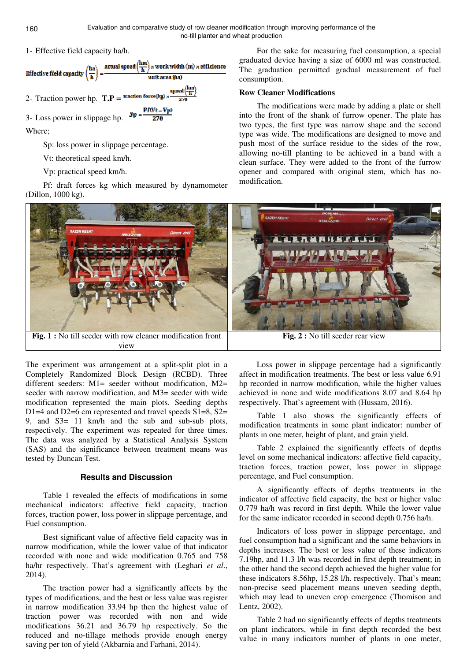consumption.

modification.

**Row Cleaner Modifications** 



Where;

Sp: loss power in slippage percentage.

Vt: theoretical speed km/h.

Vp: practical speed km/h.

Pf: draft forces kg which measured by dynamometer (Dillon, 1000 kg).



The experiment was arrangement at a split-split plot in a Completely Randomized Block Design (RCBD). Three different seeders:  $M1 =$  seeder without modification,  $M2 =$ seeder with narrow modification, and M3= seeder with wide modification represented the main plots. Seeding depths D<sub>1</sub>=4 and D<sub>2</sub>=6 cm represented and travel speeds S<sub>1</sub>=8, S<sub>2</sub>= 9, and S3= 11 km/h and the sub and sub-sub plots, respectively. The experiment was repeated for three times. The data was analyzed by a Statistical Analysis System (SAS) and the significance between treatment means was tested by Duncan Test.

## **Results and Discussion**

Table 1 revealed the effects of modifications in some mechanical indicators: affective field capacity, traction forces, traction power, loss power in slippage percentage, and Fuel consumption.

Best significant value of affective field capacity was in narrow modification, while the lower value of that indicator recorded with none and wide modification 0.765 and 758 ha/hr respectively. That's agreement with (Leghari *et al.*, 2014).

The traction power had a significantly affects by the types of modifications, and the best or less value was register in narrow modification 33.94 hp then the highest value of traction power was recorded with non and wide modifications 36.21 and 36.79 hp respectively. So the reduced and no-tillage methods provide enough energy saving per ton of yield (Akbarnia and Farhani, 2014).

Loss power in slippage percentage had a significantly affect in modification treatments. The best or less value 6.91 hp recorded in narrow modification, while the higher values achieved in none and wide modifications 8.07 and 8.64 hp respectively. That's agreement with (Hussam, 2016).

For the sake for measuring fuel consumption, a special graduated device having a size of 6000 ml was constructed. The graduation permitted gradual measurement of fuel

The modifications were made by adding a plate or shell into the front of the shank of furrow opener. The plate has two types, the first type was narrow shape and the second type was wide. The modifications are designed to move and push most of the surface residue to the sides of the row, allowing no-till planting to be achieved in a band with a clean surface. They were added to the front of the furrow opener and compared with original stem, which has no-

Table 1 also shows the significantly effects of modification treatments in some plant indicator: number of plants in one meter, height of plant, and grain yield.

Table 2 explained the significantly effects of depths level on some mechanical indicators: affective field capacity, traction forces, traction power, loss power in slippage percentage, and Fuel consumption.

A significantly effects of depths treatments in the indicator of affective field capacity, the best or higher value 0.779 ha/h was record in first depth. While the lower value for the same indicator recorded in second depth 0.756 ha/h.

Indicators of loss power in slippage percentage, and fuel consumption had a significant and the same behaviors in depths increases. The best or less value of these indicators 7.19hp, and 11.3 l/h was recorded in first depth treatment; in the other hand the second depth achieved the higher value for these indicators 8.56hp, 15.28 l/h. respectively. That's mean; non-precise seed placement means uneven seeding depth, which may lead to uneven crop emergence (Thomison and Lentz, 2002).

Table 2 had no significantly effects of depths treatments on plant indicators, while in first depth recorded the best value in many indicators number of plants in one meter,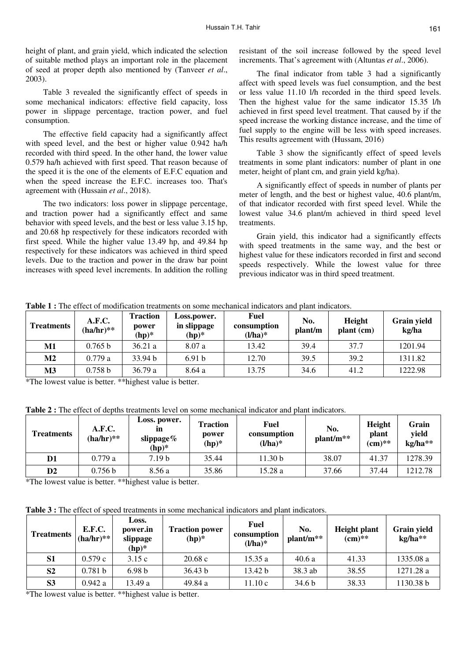height of plant, and grain yield, which indicated the selection of suitable method plays an important role in the placement of seed at proper depth also mentioned by (Tanveer *et al*., 2003).

Table 3 revealed the significantly effect of speeds in some mechanical indicators: effective field capacity, loss power in slippage percentage, traction power, and fuel consumption.

The effective field capacity had a significantly affect with speed level, and the best or higher value 0.942 ha/h recorded with third speed. In the other hand, the lower value 0.579 ha/h achieved with first speed. That reason because of the speed it is the one of the elements of E.F.C equation and when the speed increase the E.F.C. increases too. That's agreement with (Hussain *et al*., 2018).

The two indicators: loss power in slippage percentage, and traction power had a significantly effect and same behavior with speed levels, and the best or less value 3.15 hp, and 20.68 hp respectively for these indicators recorded with first speed. While the higher value 13.49 hp, and 49.84 hp respectively for these indicators was achieved in third speed levels. Due to the traction and power in the draw bar point increases with speed level increments. In addition the rolling resistant of the soil increase followed by the speed level increments. That's agreement with (Altuntas *et al*., 2006).

The final indicator from table 3 had a significantly affect with speed levels was fuel consumption, and the best or less value 11.10 l/h recorded in the third speed levels. Then the highest value for the same indicator 15.35 l/h achieved in first speed level treatment. That caused by if the speed increase the working distance increase, and the time of fuel supply to the engine will be less with speed increases. This results agreement with (Hussam, 2016)

Table 3 show the significantly effect of speed levels treatments in some plant indicators: number of plant in one meter, height of plant cm, and grain yield kg/ha).

A significantly effect of speeds in number of plants per meter of length, and the best or highest value, 40.6 plant/m, of that indicator recorded with first speed level. While the lowest value 34.6 plant/m achieved in third speed level treatments.

Grain yield, this indicator had a significantly effects with speed treatments in the same way, and the best or highest value for these indicators recorded in first and second speeds respectively. While the lowest value for three previous indicator was in third speed treatment.

| <b>Treatments</b> | A.F.C.<br>$(ha/hr)**$ | <b>Traction</b><br>power<br>$(hp)^*$ | Loss.power.<br>in slippage<br>$(hp)*$ | <b>Fuel</b><br>consumption<br>$(l/ha)^*$ | No.<br>plant/m | Height<br>plant (cm) | <b>Grain yield</b><br>kg/ha |
|-------------------|-----------------------|--------------------------------------|---------------------------------------|------------------------------------------|----------------|----------------------|-----------------------------|
| M1                | 0.765 <sub>b</sub>    | 36.21 a                              | 8.07a                                 | 13.42                                    | 39.4           | 37.7                 | 1201.94                     |
| M <sub>2</sub>    | 0.779a                | 33.94 b                              | 6.91 <sub>b</sub>                     | 12.70                                    | 39.5           | 39.2                 | 1311.82                     |
| <b>M3</b>         | 0.758 b               | 36.79a                               | 8.64 a                                | 13.75                                    | 34.6           | 41.2                 | 1222.98                     |

**Table 1 :** The effect of modification treatments on some mechanical indicators and plant indicators.

\*The lowest value is better. \*\*highest value is better.

**Table 2 :** The effect of depths treatments level on some mechanical indicator and plant indicators.

| <b>Treatments</b> | A.F.C.<br>$(ha/hr)**$ | Loss. power.<br>m<br>slippage $\%$<br>$(hp)^*$ | <b>Traction</b><br>power<br>$(hp)^*$ | Fuel<br>consumption<br>$(l/ha)^*$ | No.<br>$plant/m**$ | Height<br>plant<br>$(cm)**$ | Grain<br>yield<br>kg/ha** |
|-------------------|-----------------------|------------------------------------------------|--------------------------------------|-----------------------------------|--------------------|-----------------------------|---------------------------|
| D1                | 0.779a                | 7.19 <sub>b</sub>                              | 35.44                                | 11.30 <sub>b</sub>                | 38.07              | 41.37                       | 1278.39                   |
| $\mathbf{D2}$     | 0.756 b               | 8.56 a                                         | 35.86                                | 15.28 a                           | 37.66              | 37.44                       | 1212.78                   |

\*The lowest value is better. \*\*highest value is better.

Table 3 : The effect of speed treatments in some mechanical indicators and plant indicators.

| <b>Treatments</b> | <b>E.F.C.</b><br>$(ha/hr)**$ | Loss.<br>power.in<br>slippage<br>$(hp)^*$ | <b>Traction power</b><br>$(hp)*$ | <b>Fuel</b><br>consumption<br>$(l/ha)^*$ | No.<br>$plant/m**$ | <b>Height plant</b><br>$(cm)**$ | Grain yield<br>kg/ha** |
|-------------------|------------------------------|-------------------------------------------|----------------------------------|------------------------------------------|--------------------|---------------------------------|------------------------|
| S <sub>1</sub>    | 0.579c                       | 3.15c                                     | 20.68c                           | 15.35a                                   | 40.6a              | 41.33                           | 1335.08 a              |
| S <sub>2</sub>    | 0.781 b                      | 6.98 <sub>b</sub>                         | 36.43 b                          | 13.42 b                                  | 38.3 ab            | 38.55                           | 1271.28 a              |
| S <sub>3</sub>    | 0.942 a                      | 13.49 a                                   | 49.84 a                          | 11.10c                                   | 34.6 <sub>b</sub>  | 38.33                           | 1130.38 b              |

\*The lowest value is better. \*\*highest value is better.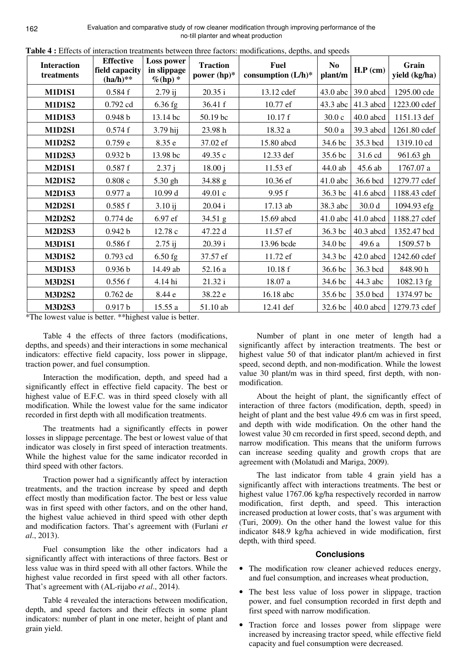Evaluation and comparative study of row cleaner modification through improving performance of the no-till planter and wheat production

| <b>Interaction</b><br>treatments | <b>Effective</b><br>field capacity<br>$(ha/h)**$ | Loss power<br>in slippage<br>$\%$ (hp) * | <b>Traction</b><br>power $(hp)^*$ | <b>ra</b> bic <b>1</b> concerts of interaction acadiments between time ractors. modifications, acpuis, and specas<br><b>Fuel</b><br>consumption $(L/h)^*$ | <b>No</b><br>plant/m | $H.P$ (cm)  | Grain<br>yield (kg/ha) |
|----------------------------------|--------------------------------------------------|------------------------------------------|-----------------------------------|-----------------------------------------------------------------------------------------------------------------------------------------------------------|----------------------|-------------|------------------------|
| <b>M1D1S1</b>                    | 0.584f                                           | $2.79$ ij                                | 20.35 i                           | 13.12 cdef                                                                                                                                                | 43.0 abc             | 39.0 abcd   | 1295.00 cde            |
| <b>M1D1S2</b>                    | 0.792 cd                                         | 6.36 fg                                  | 36.41 f                           | 10.77 ef                                                                                                                                                  | 43.3 abc             | $41.3$ abcd | 1223.00 cdef           |
| <b>M1D1S3</b>                    | 0.948 <sub>b</sub>                               | 13.14 bc                                 | 50.19 bc                          | 10.17 f                                                                                                                                                   | 30.0c                | $40.0$ abcd | 1151.13 def            |
| <b>M1D2S1</b>                    | 0.574f                                           | 3.79 hij                                 | 23.98 h                           | 18.32 a                                                                                                                                                   | 50.0a                | 39.3 abcd   | 1261.80 cdef           |
| <b>M1D2S2</b>                    | 0.759e                                           | 8.35 e                                   | 37.02 ef                          | 15.80 abcd                                                                                                                                                | 34.6 bc              | 35.3 bcd    | 1319.10 cd             |
| <b>M1D2S3</b>                    | 0.932 b                                          | 13.98 bc                                 | 49.35 c                           | 12.33 def                                                                                                                                                 | 35.6 bc              | 31.6 cd     | 961.63 gh              |
| <b>M2D1S1</b>                    | 0.587f                                           | 2.37j                                    | 18.00 j                           | 11.53 ef                                                                                                                                                  | 44.0 ab              | 45.6 ab     | 1767.07 a              |
| <b>M2D1S2</b>                    | 0.808c                                           | 5.30 gh                                  | 34.88 g                           | 10.36 ef                                                                                                                                                  | $41.0$ abc           | 36.6 bcd    | 1279.77 cdef           |
| <b>M2D1S3</b>                    | 0.977a                                           | 10.99 d                                  | 49.01 c                           | 9.95 f                                                                                                                                                    | 36.3 bc              | $41.6$ abcd | 1188.43 cdef           |
| <b>M2D2S1</b>                    | 0.585f                                           | 3.10 ij                                  | 20.04 i                           | 17.13 ab                                                                                                                                                  | 38.3 abc             | 30.0 d      | 1094.93 efg            |
| <b>M2D2S2</b>                    | 0.774 de                                         | 6.97 ef                                  | 34.51 g                           | 15.69 abcd                                                                                                                                                | $41.0$ abc           | $41.0$ abcd | 1188.27 cdef           |
| <b>M2D2S3</b>                    | 0.942 b                                          | 12.78 c                                  | 47.22 d                           | 11.57 ef                                                                                                                                                  | 36.3 bc              | $40.3$ abcd | 1352.47 bcd            |
| <b>M3D1S1</b>                    | 0.586f                                           | $2.75$ ij                                | 20.39 i                           | 13.96 bcde                                                                                                                                                | 34.0 bc              | 49.6 a      | 1509.57 b              |
| <b>M3D1S2</b>                    | 0.793 cd                                         | $6.50$ fg                                | 37.57 ef                          | 11.72 ef                                                                                                                                                  | 34.3 bc              | $42.0$ abcd | 1242.60 cdef           |
| <b>M3D1S3</b>                    | 0.936 <sub>b</sub>                               | 14.49 ab                                 | 52.16 a                           | 10.18 f                                                                                                                                                   | 36.6 bc              | 36.3 bcd    | 848.90h                |
| <b>M3D2S1</b>                    | 0.556f                                           | 4.14 hi                                  | 21.32 i                           | 18.07 a                                                                                                                                                   | 34.6 bc              | 44.3 abc    | 1082.13 fg             |
| <b>M3D2S2</b>                    | 0.762 de                                         | 8.44 e                                   | 38.22 e                           | 16.18 abc                                                                                                                                                 | 35.6 bc              | 35.0 bcd    | 1374.97 bc             |
| <b>M3D2S3</b>                    | 0.917 b                                          | 15.55 a                                  | 51.10 ab                          | 12.41 def                                                                                                                                                 | 32.6 bc              | $40.0$ abcd | 1279.73 cdef           |

Table 4 : Effects of interaction treatments between three factors: modifications, denths, and speeds

\*The lowest value is better. \*\* highest value is better.

Table 4 the effects of three factors (modifications, depths, and speeds) and their interactions in some mechanical indicators: effective field capacity, loss power in slippage, traction power, and fuel consumption.

Interaction the modification, depth, and speed had a significantly effect in effective field capacity. The best or highest value of E.F.C. was in third speed closely with all modification. While the lowest value for the same indicator recorded in first depth with all modification treatments.

The treatments had a significantly effects in power losses in slippage percentage. The best or lowest value of that indicator was closely in first speed of interaction treatments. While the highest value for the same indicator recorded in third speed with other factors.

Traction power had a significantly affect by interaction treatments, and the traction increase by speed and depth effect mostly than modification factor. The best or less value was in first speed with other factors, and on the other hand, the highest value achieved in third speed with other depth and modification factors. That's agreement with (Furlani et  $al., 2013).$ 

Fuel consumption like the other indicators had a significantly affect with interactions of three factors. Best or less value was in third speed with all other factors. While the highest value recorded in first speed with all other factors. That's agreement with (AL-rijabo et al., 2014).

Table 4 revealed the interactions between modification, depth, and speed factors and their effects in some plant indicators: number of plant in one meter, height of plant and grain vield.

Number of plant in one meter of length had a significantly affect by interaction treatments. The best or highest value 50 of that indicator plant/m achieved in first speed, second depth, and non-modification. While the lowest value 30 plant/m was in third speed, first depth, with nonmodification.

About the height of plant, the significantly effect of interaction of three factors (modification, depth, speed) in height of plant and the best value 49.6 cm was in first speed, and depth with wide modification. On the other hand the lowest value 30 cm recorded in first speed, second depth, and narrow modification. This means that the uniform furrows can increase seeding quality and growth crops that are agreement with (Molatudi and Mariga, 2009).

The last indicator from table 4 grain yield has a significantly affect with interactions treatments. The best or highest value 1767.06 kg/ha respectively recorded in narrow modification, first depth, and speed. This interaction increased production at lower costs, that's was argument with (Turi, 2009). On the other hand the lowest value for this indicator 848.9 kg/ha achieved in wide modification, first depth, with third speed.

### **Conclusions**

- The modification row cleaner achieved reduces energy, and fuel consumption, and increases wheat production,
- The best less value of loss power in slippage, traction power, and fuel consumption recorded in first depth and first speed with narrow modification.
- Traction force and losses power from slippage were increased by increasing tractor speed, while effective field capacity and fuel consumption were decreased.